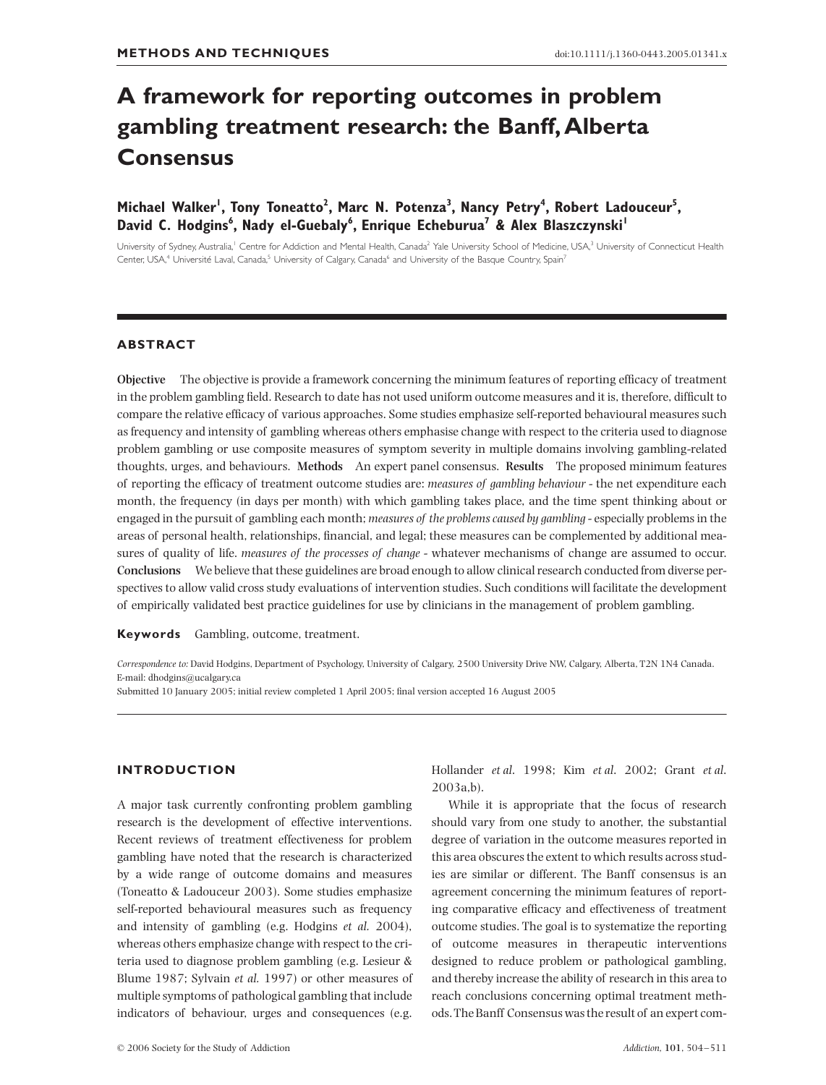# **A framework for reporting outcomes in problem gambling treatment research: the Banff, Alberta Consensus**

## Michael Walker', Tony Toneatto<sup>2</sup>, Marc N. Potenza<sup>3</sup>, Nancy Petry<sup>4</sup>, Robert Ladouceur<sup>5</sup>, David C. Hodgins<sup>6</sup>, Nady el-Guebaly<sup>6</sup>, Enrique Echeburua<sup>7</sup> & Alex Blaszczynski<sup>1</sup>

University of Sydney, Australia,<sup>1</sup> Centre for Addiction and Mental Health, Canada<sup>2</sup> Yale University School of Medicine, USA,<sup>3</sup> University of Connecticut Health Center, USA,<sup>4</sup> Université Laval, Canada,<sup>5</sup> University of Calgary, Canada<sup>6</sup> and University of the Basque Country, Spain<sup>7</sup>

## **ABSTRACT**

**Objective** The objective is provide a framework concerning the minimum features of reporting efficacy of treatment in the problem gambling field. Research to date has not used uniform outcome measures and it is, therefore, difficult to compare the relative efficacy of various approaches. Some studies emphasize self-reported behavioural measures such as frequency and intensity of gambling whereas others emphasise change with respect to the criteria used to diagnose problem gambling or use composite measures of symptom severity in multiple domains involving gambling-related thoughts, urges, and behaviours. **Methods** An expert panel consensus. **Results** The proposed minimum features of reporting the efficacy of treatment outcome studies are: *measures of gambling behaviour* - the net expenditure each month, the frequency (in days per month) with which gambling takes place, and the time spent thinking about or engaged in the pursuit of gambling each month; *measures of the problems caused by gambling* - especially problems in the areas of personal health, relationships, financial, and legal; these measures can be complemented by additional measures of quality of life. *measures of the processes of change* - whatever mechanisms of change are assumed to occur. **Conclusions** We believe that these guidelines are broad enough to allow clinical research conducted from diverse perspectives to allow valid cross study evaluations of intervention studies. Such conditions will facilitate the development of empirically validated best practice guidelines for use by clinicians in the management of problem gambling.

**Keywords** Gambling, outcome, treatment.

*Correspondence to:* David Hodgins, Department of Psychology, University of Calgary, 2500 University Drive NW, Calgary, Alberta, T2N 1N4 Canada. E-mail: dhodgins@ucalgary.ca

Submitted 10 January 2005; initial review completed 1 April 2005; final version accepted 16 August 2005

#### **INTRODUCTION**

A major task currently confronting problem gambling research is the development of effective interventions. Recent reviews of treatment effectiveness for problem gambling have noted that the research is characterized by a wide range of outcome domains and measures (Toneatto & Ladouceur 2003). Some studies emphasize self-reported behavioural measures such as frequency and intensity of gambling (e.g. Hodgins *et al.* 2004), whereas others emphasize change with respect to the criteria used to diagnose problem gambling (e.g. Lesieur & Blume 1987; Sylvain *et al.* 1997) or other measures of multiple symptoms of pathological gambling that include indicators of behaviour, urges and consequences (e.g.

Hollander *et al*. 1998; Kim *et al*. 2002; Grant *et al*. 2003a,b).

While it is appropriate that the focus of research should vary from one study to another, the substantial degree of variation in the outcome measures reported in this area obscures the extent to which results across studies are similar or different. The Banff consensus is an agreement concerning the minimum features of reporting comparative efficacy and effectiveness of treatment outcome studies. The goal is to systematize the reporting of outcome measures in therapeutic interventions designed to reduce problem or pathological gambling, and thereby increase the ability of research in this area to reach conclusions concerning optimal treatment methods. The Banff Consensus was the result of an expert com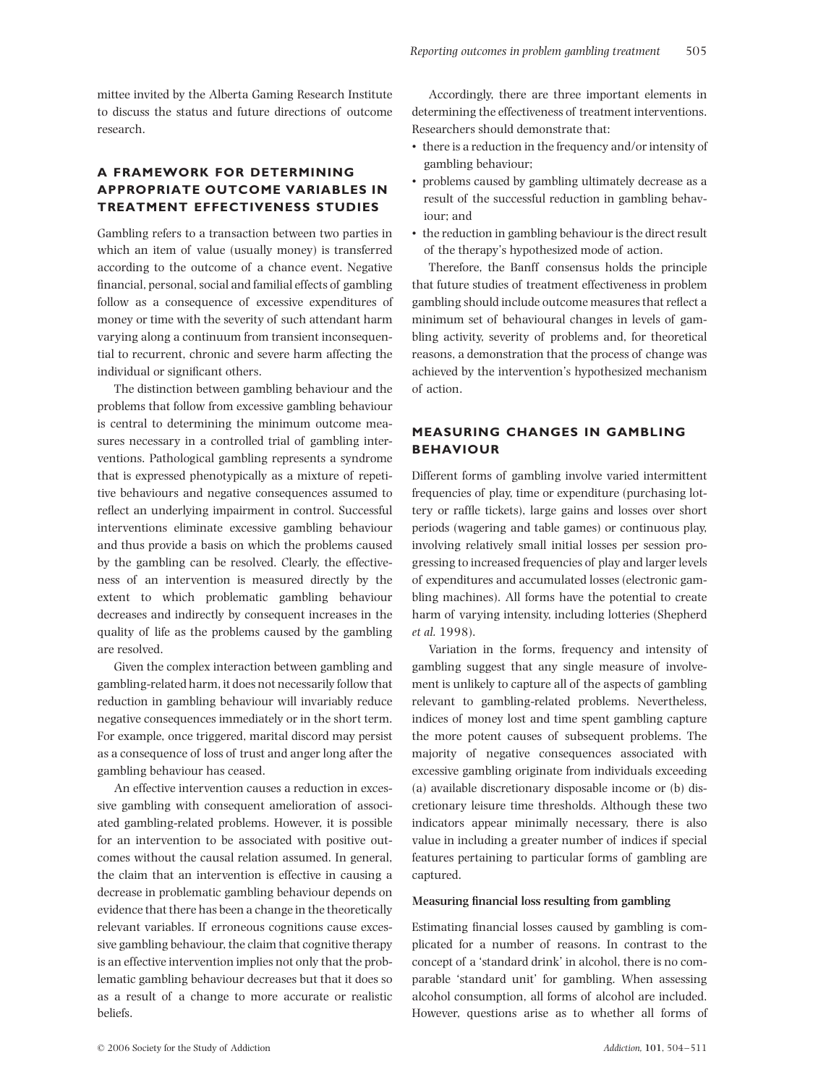mittee invited by the Alberta Gaming Research Institute to discuss the status and future directions of outcome research.

## **A FRAMEWORK FOR DETERMINING APPROPRIATE OUTCOME VARIABLES IN TREATMENT EFFECTIVENESS STUDIES**

Gambling refers to a transaction between two parties in which an item of value (usually money) is transferred according to the outcome of a chance event. Negative financial, personal, social and familial effects of gambling follow as a consequence of excessive expenditures of money or time with the severity of such attendant harm varying along a continuum from transient inconsequential to recurrent, chronic and severe harm affecting the individual or significant others.

The distinction between gambling behaviour and the problems that follow from excessive gambling behaviour is central to determining the minimum outcome measures necessary in a controlled trial of gambling interventions. Pathological gambling represents a syndrome that is expressed phenotypically as a mixture of repetitive behaviours and negative consequences assumed to reflect an underlying impairment in control. Successful interventions eliminate excessive gambling behaviour and thus provide a basis on which the problems caused by the gambling can be resolved. Clearly, the effectiveness of an intervention is measured directly by the extent to which problematic gambling behaviour decreases and indirectly by consequent increases in the quality of life as the problems caused by the gambling are resolved.

Given the complex interaction between gambling and gambling-related harm, it does not necessarily follow that reduction in gambling behaviour will invariably reduce negative consequences immediately or in the short term. For example, once triggered, marital discord may persist as a consequence of loss of trust and anger long after the gambling behaviour has ceased.

An effective intervention causes a reduction in excessive gambling with consequent amelioration of associated gambling-related problems. However, it is possible for an intervention to be associated with positive outcomes without the causal relation assumed. In general, the claim that an intervention is effective in causing a decrease in problematic gambling behaviour depends on evidence that there has been a change in the theoretically relevant variables. If erroneous cognitions cause excessive gambling behaviour, the claim that cognitive therapy is an effective intervention implies not only that the problematic gambling behaviour decreases but that it does so as a result of a change to more accurate or realistic beliefs.

Accordingly, there are three important elements in determining the effectiveness of treatment interventions. Researchers should demonstrate that:

- there is a reduction in the frequency and/or intensity of gambling behaviour;
- problems caused by gambling ultimately decrease as a result of the successful reduction in gambling behaviour; and
- the reduction in gambling behaviour is the direct result of the therapy's hypothesized mode of action.

Therefore, the Banff consensus holds the principle that future studies of treatment effectiveness in problem gambling should include outcome measures that reflect a minimum set of behavioural changes in levels of gambling activity, severity of problems and, for theoretical reasons, a demonstration that the process of change was achieved by the intervention's hypothesized mechanism of action.

## **MEASURING CHANGES IN GAMBLING BEHAVIOUR**

Different forms of gambling involve varied intermittent frequencies of play, time or expenditure (purchasing lottery or raffle tickets), large gains and losses over short periods (wagering and table games) or continuous play, involving relatively small initial losses per session progressing to increased frequencies of play and larger levels of expenditures and accumulated losses (electronic gambling machines). All forms have the potential to create harm of varying intensity, including lotteries (Shepherd *et al.* 1998).

Variation in the forms, frequency and intensity of gambling suggest that any single measure of involvement is unlikely to capture all of the aspects of gambling relevant to gambling-related problems. Nevertheless, indices of money lost and time spent gambling capture the more potent causes of subsequent problems. The majority of negative consequences associated with excessive gambling originate from individuals exceeding (a) available discretionary disposable income or (b) discretionary leisure time thresholds. Although these two indicators appear minimally necessary, there is also value in including a greater number of indices if special features pertaining to particular forms of gambling are captured.

#### **Measuring financial loss resulting from gambling**

Estimating financial losses caused by gambling is complicated for a number of reasons. In contrast to the concept of a 'standard drink' in alcohol, there is no comparable 'standard unit' for gambling. When assessing alcohol consumption, all forms of alcohol are included. However, questions arise as to whether all forms of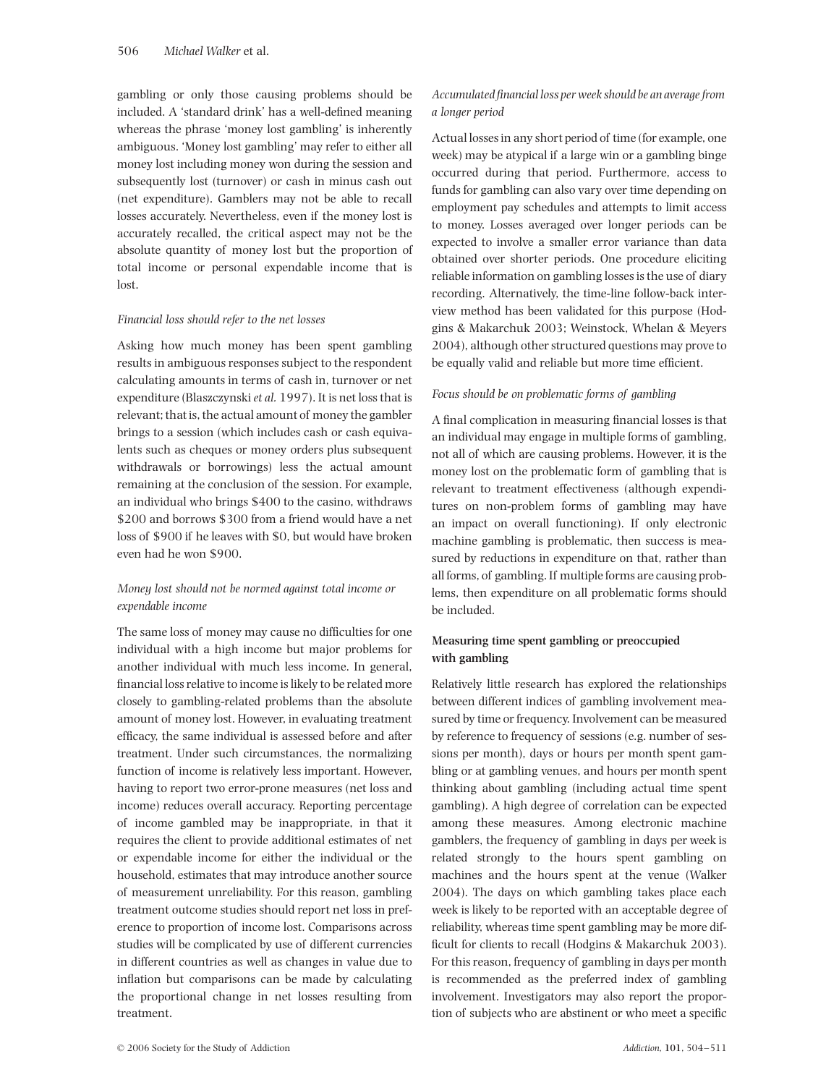gambling or only those causing problems should be included. A 'standard drink' has a well-defined meaning whereas the phrase 'money lost gambling' is inherently ambiguous. 'Money lost gambling' may refer to either all money lost including money won during the session and subsequently lost (turnover) or cash in minus cash out (net expenditure). Gamblers may not be able to recall losses accurately. Nevertheless, even if the money lost is accurately recalled, the critical aspect may not be the absolute quantity of money lost but the proportion of total income or personal expendable income that is lost.

## *Financial loss should refer to the net losses*

Asking how much money has been spent gambling results in ambiguous responses subject to the respondent calculating amounts in terms of cash in, turnover or net expenditure (Blaszczynski *et al.* 1997). It is net loss that is relevant; that is, the actual amount of money the gambler brings to a session (which includes cash or cash equivalents such as cheques or money orders plus subsequent withdrawals or borrowings) less the actual amount remaining at the conclusion of the session. For example, an individual who brings \$400 to the casino, withdraws \$200 and borrows \$300 from a friend would have a net loss of \$900 if he leaves with \$0, but would have broken even had he won \$900.

## *Money lost should not be normed against total income or expendable income*

The same loss of money may cause no difficulties for one individual with a high income but major problems for another individual with much less income. In general, financial loss relative to income is likely to be related more closely to gambling-related problems than the absolute amount of money lost. However, in evaluating treatment efficacy, the same individual is assessed before and after treatment. Under such circumstances, the normalizing function of income is relatively less important. However, having to report two error-prone measures (net loss and income) reduces overall accuracy. Reporting percentage of income gambled may be inappropriate, in that it requires the client to provide additional estimates of net or expendable income for either the individual or the household, estimates that may introduce another source of measurement unreliability. For this reason, gambling treatment outcome studies should report net loss in preference to proportion of income lost. Comparisons across studies will be complicated by use of different currencies in different countries as well as changes in value due to inflation but comparisons can be made by calculating the proportional change in net losses resulting from treatment.

## *Accumulated financial loss per week should be an average from a longer period*

Actual losses in any short period of time (for example, one week) may be atypical if a large win or a gambling binge occurred during that period. Furthermore, access to funds for gambling can also vary over time depending on employment pay schedules and attempts to limit access to money. Losses averaged over longer periods can be expected to involve a smaller error variance than data obtained over shorter periods. One procedure eliciting reliable information on gambling losses is the use of diary recording. Alternatively, the time-line follow-back interview method has been validated for this purpose (Hodgins & Makarchuk 2003; Weinstock, Whelan & Meyers 2004), although other structured questions may prove to be equally valid and reliable but more time efficient.

## *Focus should be on problematic forms of gambling*

A final complication in measuring financial losses is that an individual may engage in multiple forms of gambling, not all of which are causing problems. However, it is the money lost on the problematic form of gambling that is relevant to treatment effectiveness (although expenditures on non-problem forms of gambling may have an impact on overall functioning). If only electronic machine gambling is problematic, then success is measured by reductions in expenditure on that, rather than all forms, of gambling. If multiple forms are causing problems, then expenditure on all problematic forms should be included.

## **Measuring time spent gambling or preoccupied with gambling**

Relatively little research has explored the relationships between different indices of gambling involvement measured by time or frequency. Involvement can be measured by reference to frequency of sessions (e.g. number of sessions per month), days or hours per month spent gambling or at gambling venues, and hours per month spent thinking about gambling (including actual time spent gambling). A high degree of correlation can be expected among these measures. Among electronic machine gamblers, the frequency of gambling in days per week is related strongly to the hours spent gambling on machines and the hours spent at the venue (Walker 2004). The days on which gambling takes place each week is likely to be reported with an acceptable degree of reliability, whereas time spent gambling may be more difficult for clients to recall (Hodgins & Makarchuk 2003). For this reason, frequency of gambling in days per month is recommended as the preferred index of gambling involvement. Investigators may also report the proportion of subjects who are abstinent or who meet a specific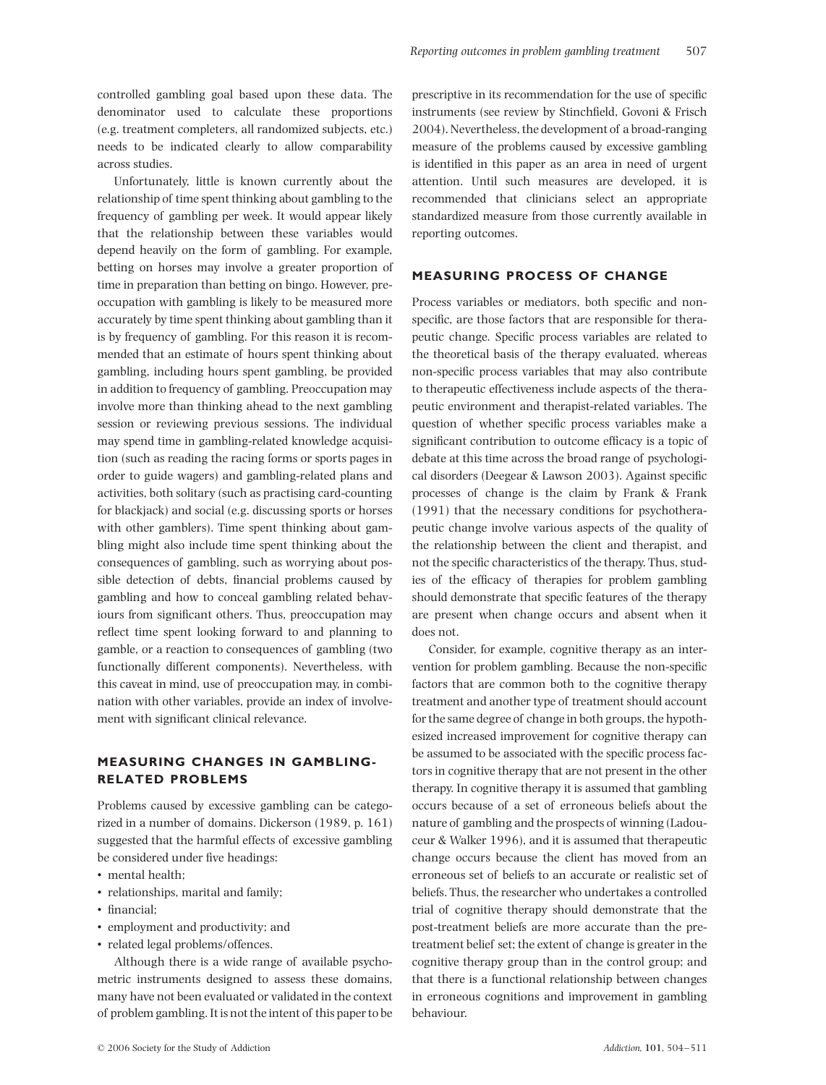controlled gambling goal based upon these data. The denominator used to calculate these proportions (e.g. treatment completers, all randomized subjects, etc.) needs to be indicated clearly to allow comparability across studies.

Unfortunately, little is known currently about the relationship of time spent thinking about gambling to the frequency of gambling per week. It would appear likely that the relationship between these variables would depend heavily on the form of gambling. For example, betting on horses may involve a greater proportion of time in preparation than betting on bingo. However, preoccupation with gambling is likely to be measured more accurately by time spent thinking about gambling than it is by frequency of gambling. For this reason it is recommended that an estimate of hours spent thinking about gambling, including hours spent gambling, be provided in addition to frequency of gambling. Preoccupation may involve more than thinking ahead to the next gambling session or reviewing previous sessions. The individual may spend time in gambling-related knowledge acquisition (such as reading the racing forms or sports pages in order to guide wagers) and gambling-related plans and activities, both solitary (such as practising card-counting for blackjack) and social (e.g. discussing sports or horses with other gamblers). Time spent thinking about gambling might also include time spent thinking about the consequences of gambling, such as worrying about possible detection of debts, financial problems caused by gambling and how to conceal gambling related behaviours from significant others. Thus, preoccupation may reflect time spent looking forward to and planning to gamble, or a reaction to consequences of gambling (two functionally different components). Nevertheless, with this caveat in mind, use of preoccupation may, in combination with other variables, provide an index of involvement with significant clinical relevance.

## **MEASURING CHANGES IN GAMBLING-RELATED PROBLEMS**

Problems caused by excessive gambling can be categorized in a number of domains. Dickerson (1989, p. 161) suggested that the harmful effects of excessive gambling be considered under five headings:

- mental health;
- relationships, marital and family;
- financial;
- employment and productivity; and
- related legal problems/offences.

Although there is a wide range of available psychometric instruments designed to assess these domains, many have not been evaluated or validated in the context of problem gambling. It is not the intent of this paper to be prescriptive in its recommendation for the use of specific instruments (see review by Stinchfield, Govoni & Frisch 2004). Nevertheless, the development of a broad-ranging measure of the problems caused by excessive gambling is identified in this paper as an area in need of urgent attention. Until such measures are developed, it is recommended that clinicians select an appropriate standardized measure from those currently available in reporting outcomes.

## **MEASURING PROCESS OF CHANGE**

Process variables or mediators, both specific and nonspecific, are those factors that are responsible for therapeutic change. Specific process variables are related to the theoretical basis of the therapy evaluated, whereas non-specific process variables that may also contribute to therapeutic effectiveness include aspects of the therapeutic environment and therapist-related variables. The question of whether specific process variables make a significant contribution to outcome efficacy is a topic of debate at this time across the broad range of psychological disorders (Deegear & Lawson 2003). Against specific processes of change is the claim by Frank & Frank (1991) that the necessary conditions for psychotherapeutic change involve various aspects of the quality of the relationship between the client and therapist, and not the specific characteristics of the therapy. Thus, studies of the efficacy of therapies for problem gambling should demonstrate that specific features of the therapy are present when change occurs and absent when it does not.

Consider, for example, cognitive therapy as an intervention for problem gambling. Because the non-specific factors that are common both to the cognitive therapy treatment and another type of treatment should account for the same degree of change in both groups, the hypothesized increased improvement for cognitive therapy can be assumed to be associated with the specific process factors in cognitive therapy that are not present in the other therapy. In cognitive therapy it is assumed that gambling occurs because of a set of erroneous beliefs about the nature of gambling and the prospects of winning (Ladouceur & Walker 1996), and it is assumed that therapeutic change occurs because the client has moved from an erroneous set of beliefs to an accurate or realistic set of beliefs. Thus, the researcher who undertakes a controlled trial of cognitive therapy should demonstrate that the post-treatment beliefs are more accurate than the pretreatment belief set; the extent of change is greater in the cognitive therapy group than in the control group; and that there is a functional relationship between changes in erroneous cognitions and improvement in gambling behaviour.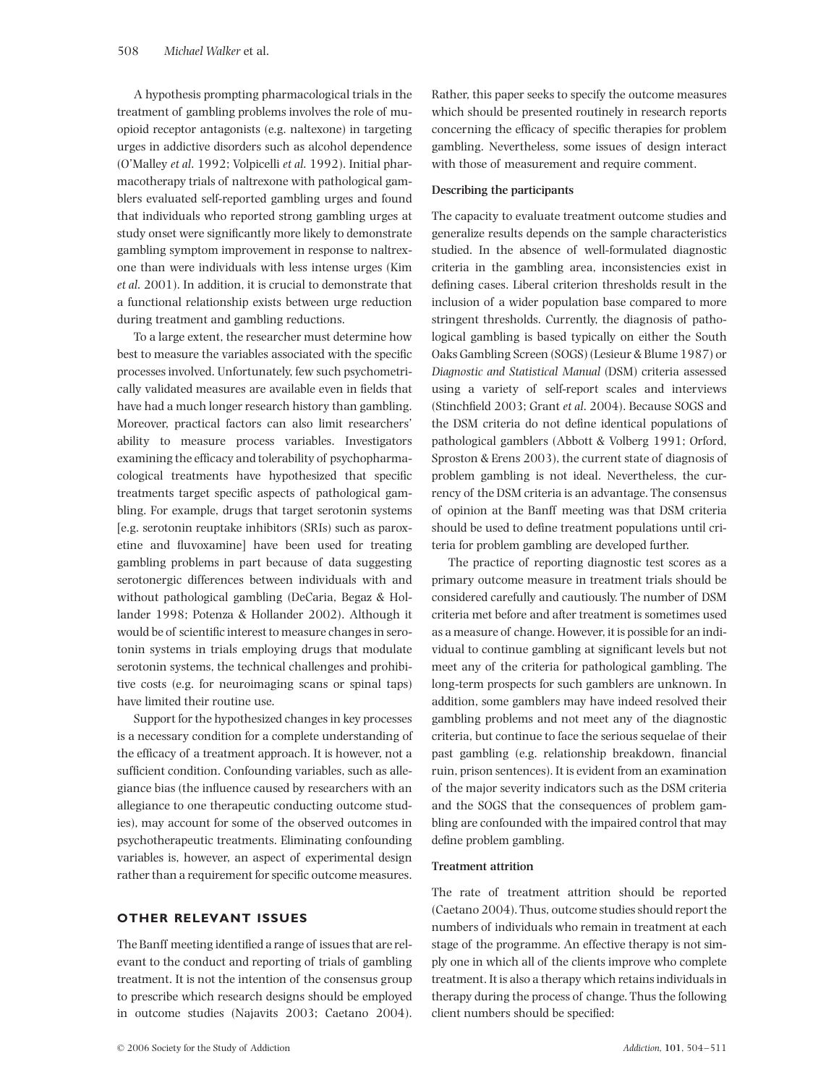A hypothesis prompting pharmacological trials in the treatment of gambling problems involves the role of muopioid receptor antagonists (e.g. naltexone) in targeting urges in addictive disorders such as alcohol dependence (O'Malley *et al*. 1992; Volpicelli *et al*. 1992). Initial pharmacotherapy trials of naltrexone with pathological gamblers evaluated self-reported gambling urges and found that individuals who reported strong gambling urges at study onset were significantly more likely to demonstrate gambling symptom improvement in response to naltrexone than were individuals with less intense urges (Kim *et al*. 2001). In addition, it is crucial to demonstrate that a functional relationship exists between urge reduction during treatment and gambling reductions.

To a large extent, the researcher must determine how best to measure the variables associated with the specific processes involved. Unfortunately, few such psychometrically validated measures are available even in fields that have had a much longer research history than gambling. Moreover, practical factors can also limit researchers' ability to measure process variables. Investigators examining the efficacy and tolerability of psychopharmacological treatments have hypothesized that specific treatments target specific aspects of pathological gambling. For example, drugs that target serotonin systems [e.g. serotonin reuptake inhibitors (SRIs) such as paroxetine and fluvoxamine] have been used for treating gambling problems in part because of data suggesting serotonergic differences between individuals with and without pathological gambling (DeCaria, Begaz & Hollander 1998; Potenza & Hollander 2002). Although it would be of scientific interest to measure changes in serotonin systems in trials employing drugs that modulate serotonin systems, the technical challenges and prohibitive costs (e.g. for neuroimaging scans or spinal taps) have limited their routine use.

Support for the hypothesized changes in key processes is a necessary condition for a complete understanding of the efficacy of a treatment approach. It is however, not a sufficient condition. Confounding variables, such as allegiance bias (the influence caused by researchers with an allegiance to one therapeutic conducting outcome studies), may account for some of the observed outcomes in psychotherapeutic treatments. Eliminating confounding variables is, however, an aspect of experimental design rather than a requirement for specific outcome measures.

#### **OTHER RELEVANT ISSUES**

The Banff meeting identified a range of issues that are relevant to the conduct and reporting of trials of gambling treatment. It is not the intention of the consensus group to prescribe which research designs should be employed in outcome studies (Najavits 2003; Caetano 2004). Rather, this paper seeks to specify the outcome measures which should be presented routinely in research reports concerning the efficacy of specific therapies for problem gambling. Nevertheless, some issues of design interact with those of measurement and require comment.

#### **Describing the participants**

The capacity to evaluate treatment outcome studies and generalize results depends on the sample characteristics studied. In the absence of well-formulated diagnostic criteria in the gambling area, inconsistencies exist in defining cases. Liberal criterion thresholds result in the inclusion of a wider population base compared to more stringent thresholds. Currently, the diagnosis of pathological gambling is based typically on either the South Oaks Gambling Screen (SOGS) (Lesieur & Blume 1987) or *Diagnostic and Statistical Manual* (DSM) criteria assessed using a variety of self-report scales and interviews (Stinchfield 2003; Grant *et al*. 2004). Because SOGS and the DSM criteria do not define identical populations of pathological gamblers (Abbott & Volberg 1991; Orford, Sproston & Erens 2003), the current state of diagnosis of problem gambling is not ideal. Nevertheless, the currency of the DSM criteria is an advantage. The consensus of opinion at the Banff meeting was that DSM criteria should be used to define treatment populations until criteria for problem gambling are developed further.

The practice of reporting diagnostic test scores as a primary outcome measure in treatment trials should be considered carefully and cautiously. The number of DSM criteria met before and after treatment is sometimes used as a measure of change. However, it is possible for an individual to continue gambling at significant levels but not meet any of the criteria for pathological gambling. The long-term prospects for such gamblers are unknown. In addition, some gamblers may have indeed resolved their gambling problems and not meet any of the diagnostic criteria, but continue to face the serious sequelae of their past gambling (e.g. relationship breakdown, financial ruin, prison sentences). It is evident from an examination of the major severity indicators such as the DSM criteria and the SOGS that the consequences of problem gambling are confounded with the impaired control that may define problem gambling.

#### **Treatment attrition**

The rate of treatment attrition should be reported (Caetano 2004). Thus, outcome studies should report the numbers of individuals who remain in treatment at each stage of the programme. An effective therapy is not simply one in which all of the clients improve who complete treatment. It is also a therapy which retains individuals in therapy during the process of change. Thus the following client numbers should be specified: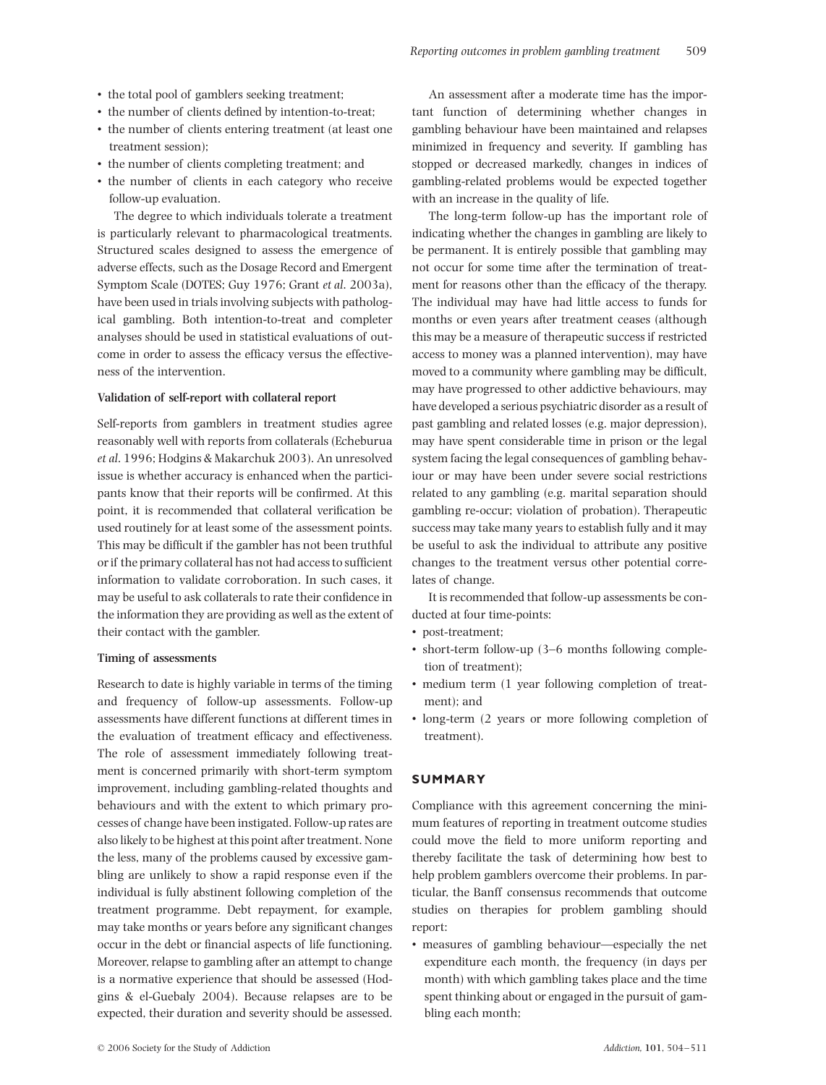- the total pool of gamblers seeking treatment;
- the number of clients defined by intention-to-treat;
- the number of clients entering treatment (at least one treatment session);
- the number of clients completing treatment; and
- the number of clients in each category who receive follow-up evaluation.

The degree to which individuals tolerate a treatment is particularly relevant to pharmacological treatments. Structured scales designed to assess the emergence of adverse effects, such as the Dosage Record and Emergent Symptom Scale (DOTES; Guy 1976; Grant *et al*. 2003a), have been used in trials involving subjects with pathological gambling. Both intention-to-treat and completer analyses should be used in statistical evaluations of outcome in order to assess the efficacy versus the effectiveness of the intervention.

#### **Validation of self-report with collateral report**

Self-reports from gamblers in treatment studies agree reasonably well with reports from collaterals (Echeburua *et al*. 1996; Hodgins & Makarchuk 2003). An unresolved issue is whether accuracy is enhanced when the participants know that their reports will be confirmed. At this point, it is recommended that collateral verification be used routinely for at least some of the assessment points. This may be difficult if the gambler has not been truthful or if the primary collateral has not had access to sufficient information to validate corroboration. In such cases, it may be useful to ask collaterals to rate their confidence in the information they are providing as well as the extent of their contact with the gambler.

#### **Timing of assessments**

Research to date is highly variable in terms of the timing and frequency of follow-up assessments. Follow-up assessments have different functions at different times in the evaluation of treatment efficacy and effectiveness. The role of assessment immediately following treatment is concerned primarily with short-term symptom improvement, including gambling-related thoughts and behaviours and with the extent to which primary processes of change have been instigated. Follow-up rates are also likely to be highest at this point after treatment. None the less, many of the problems caused by excessive gambling are unlikely to show a rapid response even if the individual is fully abstinent following completion of the treatment programme. Debt repayment, for example, may take months or years before any significant changes occur in the debt or financial aspects of life functioning. Moreover, relapse to gambling after an attempt to change is a normative experience that should be assessed (Hodgins & el-Guebaly 2004). Because relapses are to be expected, their duration and severity should be assessed.

An assessment after a moderate time has the important function of determining whether changes in gambling behaviour have been maintained and relapses minimized in frequency and severity. If gambling has stopped or decreased markedly, changes in indices of gambling-related problems would be expected together with an increase in the quality of life.

The long-term follow-up has the important role of indicating whether the changes in gambling are likely to be permanent. It is entirely possible that gambling may not occur for some time after the termination of treatment for reasons other than the efficacy of the therapy. The individual may have had little access to funds for months or even years after treatment ceases (although this may be a measure of therapeutic success if restricted access to money was a planned intervention), may have moved to a community where gambling may be difficult, may have progressed to other addictive behaviours, may have developed a serious psychiatric disorder as a result of past gambling and related losses (e.g. major depression), may have spent considerable time in prison or the legal system facing the legal consequences of gambling behaviour or may have been under severe social restrictions related to any gambling (e.g. marital separation should gambling re-occur; violation of probation). Therapeutic success may take many years to establish fully and it may be useful to ask the individual to attribute any positive changes to the treatment versus other potential correlates of change.

It is recommended that follow-up assessments be conducted at four time-points:

- post-treatment;
- short-term follow-up (3–6 months following completion of treatment);
- medium term (1 year following completion of treatment); and
- long-term (2 years or more following completion of treatment).

#### **SUMMARY**

Compliance with this agreement concerning the minimum features of reporting in treatment outcome studies could move the field to more uniform reporting and thereby facilitate the task of determining how best to help problem gamblers overcome their problems. In particular, the Banff consensus recommends that outcome studies on therapies for problem gambling should report:

• measures of gambling behaviour—especially the net expenditure each month, the frequency (in days per month) with which gambling takes place and the time spent thinking about or engaged in the pursuit of gambling each month;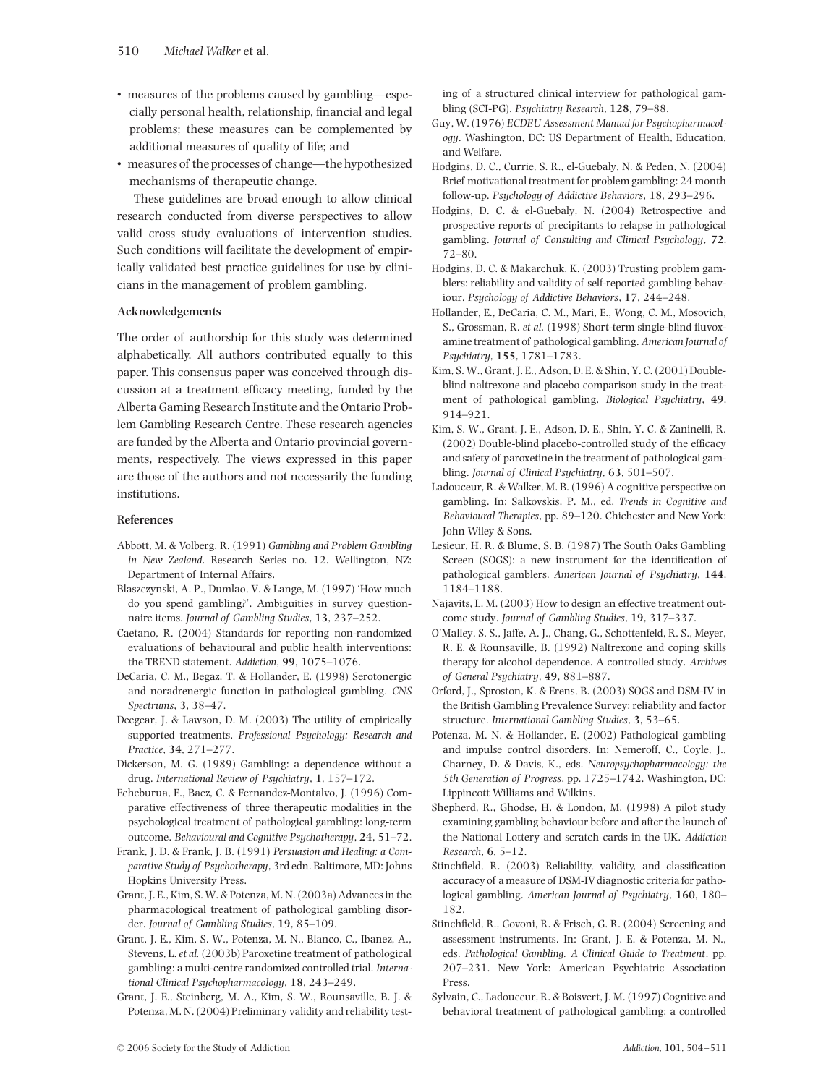- measures of the problems caused by gambling—especially personal health, relationship, financial and legal problems; these measures can be complemented by additional measures of quality of life; and
- measures of the processes of change—the hypothesized mechanisms of therapeutic change.

These guidelines are broad enough to allow clinical research conducted from diverse perspectives to allow valid cross study evaluations of intervention studies. Such conditions will facilitate the development of empirically validated best practice guidelines for use by clinicians in the management of problem gambling.

#### **Acknowledgements**

The order of authorship for this study was determined alphabetically. All authors contributed equally to this paper. This consensus paper was conceived through discussion at a treatment efficacy meeting, funded by the Alberta Gaming Research Institute and the Ontario Problem Gambling Research Centre. These research agencies are funded by the Alberta and Ontario provincial governments, respectively. The views expressed in this paper are those of the authors and not necessarily the funding institutions.

#### **References**

- Abbott, M. & Volberg, R. (1991) *Gambling and Problem Gambling in New Zealand*. Research Series no. 12. Wellington, NZ: Department of Internal Affairs.
- Blaszczynski, A. P., Dumlao, V. & Lange, M. (1997) 'How much do you spend gambling?'. Ambiguities in survey questionnaire items. *Journal of Gambling Studies*, **13**, 237–252.
- Caetano, R. (2004) Standards for reporting non-randomized evaluations of behavioural and public health interventions: the TREND statement. *Addiction*, **99**, 1075–1076.
- DeCaria, C. M., Begaz, T. & Hollander, E. (1998) Serotonergic and noradrenergic function in pathological gambling. *CNS Spectrums*, **3**, 38–47.
- Deegear, J. & Lawson, D. M. (2003) The utility of empirically supported treatments. *Professional Psychology: Research and Practice*, **34**, 271–277.
- Dickerson, M. G. (1989) Gambling: a dependence without a drug. *International Review of Psychiatry*, **1**, 157–172.
- Echeburua, E., Baez, C. & Fernandez-Montalvo, J. (1996) Comparative effectiveness of three therapeutic modalities in the psychological treatment of pathological gambling: long-term outcome. *Behavioural and Cognitive Psychotherapy*, **24**, 51–72.
- Frank, J. D. & Frank, J. B. (1991) *Persuasion and Healing: a Comparative Study of Psychotherapy*, 3rd edn. Baltimore, MD: Johns Hopkins University Press.
- Grant, J. E., Kim, S. W. & Potenza, M. N. (2003a) Advances in the pharmacological treatment of pathological gambling disorder. *Journal of Gambling Studies*, **19**, 85–109.
- Grant, J. E., Kim, S. W., Potenza, M. N., Blanco, C., Ibanez, A., Stevens, L. *et al.* (2003b) Paroxetine treatment of pathological gambling: a multi-centre randomized controlled trial. *International Clinical Psychopharmacology*, **18**, 243–249.
- Grant, J. E., Steinberg, M. A., Kim, S. W., Rounsaville, B. J. & Potenza, M. N. (2004) Preliminary validity and reliability test-

ing of a structured clinical interview for pathological gambling (SCI-PG). *Psychiatry Research*, **128**, 79–88.

- Guy, W. (1976) *ECDEU Assessment Manual for Psychopharmacology*. Washington, DC: US Department of Health, Education, and Welfare.
- Hodgins, D. C., Currie, S. R., el-Guebaly, N. & Peden, N. (2004) Brief motivational treatment for problem gambling: 24 month follow-up. *Psychology of Addictive Behaviors*, **18**, 293–296.
- Hodgins, D. C. & el-Guebaly, N. (2004) Retrospective and prospective reports of precipitants to relapse in pathological gambling. *Journal of Consulting and Clinical Psychology*, **72**, 72–80.
- Hodgins, D. C. & Makarchuk, K. (2003) Trusting problem gamblers: reliability and validity of self-reported gambling behaviour. *Psychology of Addictive Behaviors*, **17**, 244–248.
- Hollander, E., DeCaria, C. M., Mari, E., Wong, C. M., Mosovich, S., Grossman, R. *et al.* (1998) Short-term single-blind fluvoxamine treatment of pathological gambling. *American Journal of Psychiatry*, **155**, 1781–1783.
- Kim, S. W., Grant, J. E., Adson, D. E. & Shin, Y. C. (2001) Doubleblind naltrexone and placebo comparison study in the treatment of pathological gambling. *Biological Psychiatry*, **49**, 914–921.
- Kim, S. W., Grant, J. E., Adson, D. E., Shin, Y. C. & Zaninelli, R. (2002) Double-blind placebo-controlled study of the efficacy and safety of paroxetine in the treatment of pathological gambling. *Journal of Clinical Psychiatry*, **63**, 501–507.
- Ladouceur, R. & Walker, M. B. (1996) A cognitive perspective on gambling. In: Salkovskis, P. M., ed. *Trends in Cognitive and Behavioural Therapies*, pp. 89–120. Chichester and New York: John Wiley & Sons.
- Lesieur, H. R. & Blume, S. B. (1987) The South Oaks Gambling Screen (SOGS): a new instrument for the identification of pathological gamblers. *American Journal of Psychiatry*, **144**, 1184–1188.
- Najavits, L. M. (2003) How to design an effective treatment outcome study. *Journal of Gambling Studies*, **19**, 317–337.
- O'Malley, S. S., Jaffe, A. J., Chang, G., Schottenfeld, R. S., Meyer, R. E. & Rounsaville, B. (1992) Naltrexone and coping skills therapy for alcohol dependence. A controlled study. *Archives of General Psychiatry*, **49**, 881–887.
- Orford, J., Sproston, K. & Erens, B. (2003) SOGS and DSM-IV in the British Gambling Prevalence Survey: reliability and factor structure. *International Gambling Studies*, **3**, 53–65.
- Potenza, M. N. & Hollander, E. (2002) Pathological gambling and impulse control disorders. In: Nemeroff, C., Coyle, J., Charney, D. & Davis, K., eds. *Neuropsychopharmacology: the 5th Generation of Progress*, pp. 1725–1742. Washington, DC: Lippincott Williams and Wilkins.
- Shepherd, R., Ghodse, H. & London, M. (1998) A pilot study examining gambling behaviour before and after the launch of the National Lottery and scratch cards in the UK. *Addiction Research*, **6**, 5–12.
- Stinchfield, R. (2003) Reliability, validity, and classification accuracy of a measure of DSM-IV diagnostic criteria for pathological gambling. *American Journal of Psychiatry*, **160**, 180– 182.
- Stinchfield, R., Govoni, R. & Frisch, G. R. (2004) Screening and assessment instruments. In: Grant, J. E. & Potenza, M. N., eds. *Pathological Gambling. A Clinical Guide to Treatment*, pp. 207–231. New York: American Psychiatric Association Press.
- Sylvain, C., Ladouceur, R. & Boisvert, J. M. (1997) Cognitive and behavioral treatment of pathological gambling: a controlled